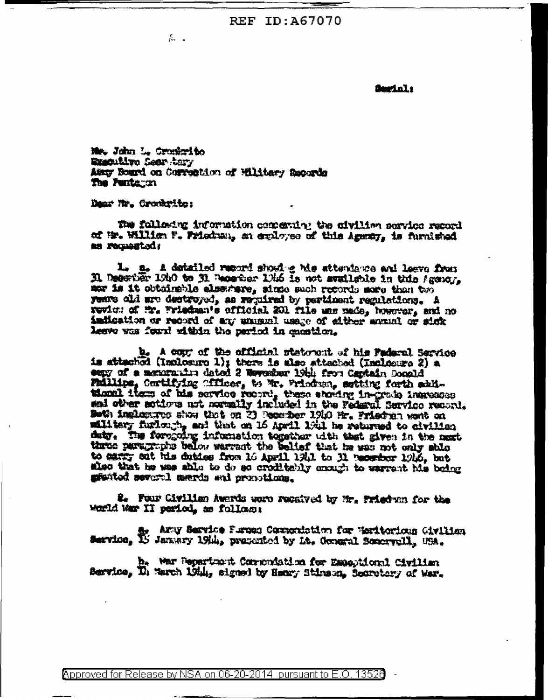**REF ID: A67070** 

L.,

Serial:

New John L. Creekrito REACutive Seer tary Amery Bourd on Convention of Wiltery Reports The Puntagen

Dear Mr. Cronkrite:

The following information companing the aiviling pervice record of in. William F. Friedman, an exployee of this Agenty, is furnished as requested:

1. a. A detailed record shoul g his attendance and leave from Il Desertär 1940 to il Deserter 1946 is not available in this Agency. nor is it obtainable elsewhere, since such records nore than two years ald are destroyed, as required by pertinent regulations. A revien of Mr. Wriedman's official 201 file was made, however, and no indication or record of any unusual usage of either events or sick leave was found within the pariod in meetion.

b. A copy of the official statewat of his Fadaral Service is attached (Inclosure 1); there is also attached (Inclesure 2) a cony of a memorative dated 2 Weyesher 19th from Captain Donald Philips, Certifying "fficer, to Wr. Prindum, setting forth atiitional item of his service record, these shoding in-grade increases and other actions not normally included in the Federal Service record. Both inclustres show that on 23 Reserber 1910 Hr. Priedran wont on military furiouth, and that on 16 April 19th he returned to civilian daty. The foregoing information together with that given in the next three paragraphs below warrant the belief that he was not only ship to carry sut his dubies from 16 April 1941 to 31 recentor 1946, but shed that he was shie to do so creditebly enough to warrent his being granted several mards and proportions.

2. Four Civilian Awards were received by Mr. Friedwa for the Morld War II period, as follown:

a. Arty Service Purses Commentation for Weritorious Civilian

b. War Pepartment Commonistion for Exactional Civilian Bervice, D. March 1944, signed by Henry Stirson, Secretary of War.

Approved for Release by NSA on 06-20-2014 pursuant to E.O. 13526